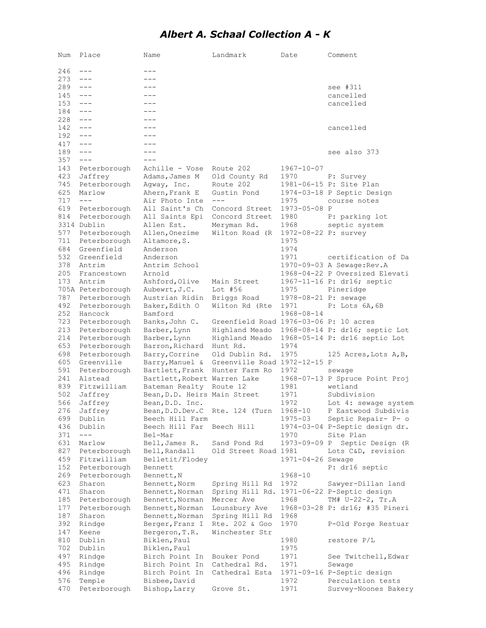## *Albert A. Schaal Collection A - K*

| Num        | Place                        | Name                                            | Landmark                                       | Date                 | Comment                                  |
|------------|------------------------------|-------------------------------------------------|------------------------------------------------|----------------------|------------------------------------------|
|            |                              | ---                                             |                                                |                      |                                          |
| 246        | $---$<br>$\qquad \qquad - -$ | $---$                                           |                                                |                      |                                          |
| 273<br>289 | $---$                        | ---                                             |                                                |                      |                                          |
| 145        | $---$                        | $- - -$                                         |                                                |                      | see #311<br>cancelled                    |
| 153        | $---$                        | ---                                             |                                                |                      | cancelled                                |
| 184        | $---$                        | ---                                             |                                                |                      |                                          |
| 228        | $---$                        | $- - -$                                         |                                                |                      |                                          |
| 142        | $---$                        | ---                                             |                                                |                      | cancelled                                |
| 192        | $---$                        | ---                                             |                                                |                      |                                          |
| 417        | $---$                        | ---                                             |                                                |                      |                                          |
| 189        | $---$                        | ---                                             |                                                |                      | see also 373                             |
| 357        | $---$                        | $- - -$                                         |                                                |                      |                                          |
| 143        | Peterborough                 | Achille - Vose                                  | Route 202                                      | 1967-10-07           |                                          |
| 423        | Jaffrey                      | Adams, James M                                  | Old County Rd                                  | 1970                 | P: Survey                                |
| 745        | Peterborough                 | Agway, Inc.                                     | Route 202                                      |                      | 1981-06-15 P: Site Plan                  |
| 625        | Marlow                       | Ahern, Frank E                                  | Gustin Pond                                    |                      | 1974-03-18 P Septic Design               |
| 717        | $---$                        | Air Photo Inte                                  | $---$                                          | 1975                 | course notes                             |
| 619        | Peterborough                 | All Saint's Ch                                  | Concord Street                                 | 1973-05-08 P         |                                          |
| 814        | Peterborough                 | All Saints Epi                                  | Concord Street                                 | 1980                 | P: parking lot                           |
|            | 3314 Dublin                  | Allen Est.                                      | Meryman Rd.                                    | 1968                 | septic system                            |
| 577        | Peterborough                 | Allen, Onezime                                  | Wilton Road (R                                 | 1972-08-22 P: survey |                                          |
| 711        | Peterborough                 | Altamore, S.                                    |                                                | 1975                 |                                          |
| 684        | Greenfield                   | Anderson                                        |                                                | 1974                 |                                          |
| 532        | Greenfield                   | Anderson                                        |                                                | 1971                 | certification of Da                      |
| 378        | Antrim                       | Antrim School                                   |                                                |                      | 1970-09-03 A Sewage: Rev. A              |
| 205        | Francestown                  | Arnold                                          |                                                |                      | 1968-04-22 P Oversized Elevati           |
| 173        | Antrim                       | Ashford, Olive                                  | Main Street                                    |                      | 1967-11-16 P: dr16; septic               |
|            | 705A Peterborough            | Aubewrt, J.C.                                   | Lot $#56$                                      | 1975                 | Pineridge                                |
| 787        | Peterborough                 | Austrian Ridin                                  | Briggs Road                                    | 1978-08-21 P: sewage |                                          |
| 492        | Peterborough                 | Baker, Edith O                                  | Wilton Rd (Rte                                 | 1971                 | P: Lots 6A,6B                            |
| 252        | Hancock                      | Bamford                                         |                                                | 1968-08-14           |                                          |
| 723        | Peterborough                 | Banks, John C.                                  | Greenfield Road 1976-03-06 P: 10 acres         |                      |                                          |
| 213        | Peterborough                 | Barber, Lynn                                    | Highland Meado                                 |                      | 1968-08-14 P: dr16; septic Lot           |
| 214        | Peterborough                 | Barber, Lynn                                    | Highland Meado                                 |                      | 1968-05-14 P: dr16 septic Lot            |
| 653        | Peterborough                 | Barron, Richard                                 | Hunt Rd.                                       | 1974                 |                                          |
| 698        | Peterborough                 | Barry, Corrine                                  | Old Dublin Rd.                                 | 1975                 | 125 Acres, Lots A, B,                    |
| 605        | Greenville                   | Barry, Manuel &                                 | Greenville Road 1972-12-15 P<br>Hunter Farm Ro | 1972                 |                                          |
| 591<br>241 | Peterborough<br>Alstead      | Bartlett, Frank<br>Bartlett, Robert Warren Lake |                                                |                      | sewage<br>1968-07-13 P Spruce Point Proj |
| 839        | Fitzwilliam                  | Bateman Realty                                  | Route 12                                       | 1981                 | wetland                                  |
| 502        | Jaffrey                      | Bean, D.D. Heirs Main Street                    |                                                | 1971                 | Subdivision                              |
| 566        | Jaffrey                      | Bean, D.D. Inc.                                 |                                                | 1972                 | Lot 4: sewage system                     |
| 276        | Jaffrey                      | Bean, D.D. Dev.C                                | Rte. 124 (Turn                                 | $1968 - 10$          | P Eastwood Subdivis                      |
| 699        | Dublin                       | Beech Hill Farm                                 |                                                | $1975 - 03$          | Septic Repair- P- o                      |
| 436        | Dublin                       | Beech Hill Far                                  | Beech Hill                                     |                      | 1974-03-04 P-Septic design dr.           |
| 371        | $---$                        | Bel-Mar                                         |                                                | 1970                 | Site Plan                                |
| 631        | Marlow                       | Bell, James R.                                  | Sand Pond Rd                                   | 1973-09-09 P         | Septic Design (R                         |
| 827        | Peterborough                 | Bell, Randall                                   | Old Street Road 1981                           |                      | Lots C&D, revision                       |
| 459        | Fitzwilliam                  | Belletit/Flodey                                 |                                                | 1971-04-26 Sewage    |                                          |
| 152        | Peterborough                 | Bennett                                         |                                                |                      | P: dr16 septic                           |
| 269        | Peterborough                 | Bennett, N                                      |                                                | 1968-10              |                                          |
| 623        | Sharon                       | Bennett, Norm                                   | Spring Hill Rd                                 | 1972                 | Sawyer-Dillan land                       |
| 471        | Sharon                       | Bennett, Norman                                 | Spring Hill Rd.                                |                      | 1971-06-22 P-Septic design               |
| 185        | Peterborough                 | Bennett, Norman                                 | Mercer Ave                                     | 1968                 | TM# U-22-2, Tr.A                         |
| 177        | Peterborough                 | Bennett, Norman                                 | Lounsbury Ave                                  |                      | 1968-03-28 P: dr16; #35 Pineri           |
| 187        | Sharon                       | Bennett, Norman                                 | Spring Hill Rd                                 | 1968                 |                                          |
| 392        | Rindge                       | Berger, Franz I                                 | Rte. 202 & Goo                                 | 1970                 | P-Old Forge Restuar                      |
| 147        | Keene                        | Bergeron, T.R.                                  | Winchester Str                                 |                      |                                          |
| 810        | Dublin                       | Biklen, Paul                                    |                                                | 1980                 | restore P/L                              |
| 702        | Dublin                       | Biklen, Paul                                    |                                                | 1975                 |                                          |
| 497        | Rindge                       | Birch Point In                                  | Bouker Pond                                    | 1971                 | See Twitchell, Edwar                     |
| 495        | Rindge                       | Birch Point In                                  | Cathedral Rd.                                  | 1971                 | Sewage                                   |
| 496        | Rindge                       | Birch Point In                                  | Cathedral Esta                                 |                      | 1971-09-16 P-Septic design               |
| 576        | Temple                       | Bisbee, David                                   |                                                | 1972                 | Perculation tests                        |
| 470        | Peterborough                 | Bishop, Larry                                   | Grove St.                                      | 1971                 | Survey-Noones Bakery                     |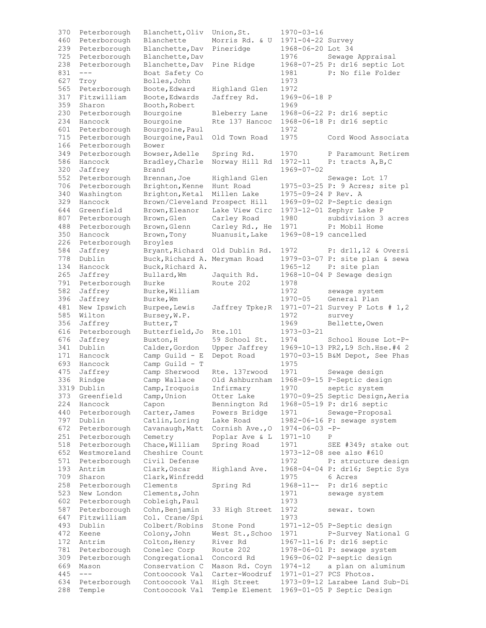| 370<br>460 | Peterborough                 | Blanchett, Oliv                  | Union, St.                  | $1970 - 03 - 16$                       |                                                 |
|------------|------------------------------|----------------------------------|-----------------------------|----------------------------------------|-------------------------------------------------|
| 239        | Peterborough<br>Peterborough | Blanchette<br>Blanchette, Dav    | Morris Rd. & U<br>Pineridge | 1971-04-22 Survey<br>1968-06-20 Lot 34 |                                                 |
| 725        | Peterborough                 | Blanchette, Dav                  |                             | 1976                                   | Sewage Appraisal                                |
| 238        | Peterborough                 | Blanchette, Dav                  | Pine Ridge                  |                                        | 1968-07-25 P: dr16 septic Lot                   |
| 831        | $\qquad \qquad - -$          | Boat Safety Co                   |                             | 1981                                   | P: No file Folder                               |
| 627        | Troy                         | Bolles, John                     |                             | 1973                                   |                                                 |
| 565        | Peterborough                 | Boote, Edward                    | Highland Glen               | 1972                                   |                                                 |
| 317        | Fitzwilliam                  | Boote, Edwards                   | Jaffrey Rd.                 | 1969-06-18 P                           |                                                 |
| 359        | Sharon                       | Booth, Robert                    |                             | 1969                                   |                                                 |
| 230        | Peterborough                 | Bourgoine                        | Bleberry Lane               |                                        | 1968-06-22 P: dr16 septic                       |
| 234        | Hancock                      | Bourgoine                        | Rte 137 Hancoc              |                                        | 1968-06-18 P: dr16 septic                       |
| 601        | Peterborough                 | Bourgoine, Paul                  |                             | 1972                                   |                                                 |
| 715        | Peterborough                 | Bourgoine, Paul                  | Old Town Road               | 1975                                   | Cord Wood Associata                             |
| 166        | Peterborough                 | Bower                            |                             |                                        |                                                 |
| 349        | Peterborough                 | Bowser, Adelle                   | Spring Rd.                  | 1970                                   | P Paramount Retirem                             |
| 586        | Hancock                      | Bradley, Charle                  | Norway Hill Rd              | 1972-11                                | $P:$ tracts $A, B, C$                           |
| 320        | Jaffrey                      | Brand                            |                             | 1969-07-02                             |                                                 |
| 552        | Peterborough                 | Brennan, Joe                     | Highland Glen               |                                        | Sewage: Lot 17                                  |
| 706        | Peterborough                 | Brighton, Kenne                  | Hunt Road                   |                                        | 1975-03-25 P: 9 Acres; site pl                  |
| 340        | Washington                   | Brighton, Ketal                  | Millen Lake                 | 1975-09-24 P Rev. A                    |                                                 |
| 329        | Hancock                      | Brown/Cleveland Prospect Hill    |                             |                                        | 1969-09-02 P-Septic design                      |
| 644        | Greenfield                   | Brown, Eleanor                   | Lake View Circ              |                                        | 1973-12-01 Zephyr Lake P<br>subdivision 3 acres |
| 807        | Peterborough                 | Brown, Glen                      | Carley Road                 | 1980                                   | P: Mobil Home                                   |
| 488<br>350 | Peterborough<br>Hancock      | Brown, Glenn<br>Brown, Tony      | Carley Rd., He              | 1971<br>1969-08-19 cancelled           |                                                 |
| 226        | Peterborough                 | Broyles                          | Nuanusit, Lake              |                                        |                                                 |
| 584        | Jaffrey                      | Bryant, Richard                  | Old Dublin Rd.              | 1972                                   | $P: dr11, 12$ & Oversi                          |
| 778        | Dublin                       | Buck, Richard A.                 | Meryman Road                |                                        | 1979-03-07 P: site plan & sewa                  |
| 134        | Hancock                      | Buck, Richard A.                 |                             | 1965-12                                | P: site plan                                    |
| 265        | Jaffrey                      | Bullard, Wm                      | Jaquith Rd.                 |                                        | 1968-10-04 P Sewage design                      |
| 791        | Peterborough                 | Burke                            | Route 202                   | 1978                                   |                                                 |
| 582        | Jaffrey                      | Burke, William                   |                             | 1972                                   | sewage system                                   |
| 396        | Jaffrey                      | Burke, Wm                        |                             | $1970 - 05$                            | General Plan                                    |
| 481        | New Ipswich                  | Burpee, Lewis                    | Jaffrey Tpke; R             |                                        | 1971-07-21 Survey P Lots # 1,2                  |
| 585        | Wilton                       | Bursey, W.P.                     |                             | 1972                                   | survey                                          |
| 356        | Jaffrey                      | Butter, T                        |                             | 1969                                   | Bellette, Owen                                  |
| 616        | Peterborough                 | Butterfield, Jo                  | Rte.101                     | $1973 - 03 - 21$                       |                                                 |
| 676        | Jaffrey                      | Buxton, H                        | 59 School St.               | 1974                                   | School House Lot-P-                             |
| 341        | Dublin                       | Calder, Gordon                   | Upper Jaffrey               |                                        | 1969-10-13 PR2, L9 Sch. Hse. #4 2               |
| 171        | Hancock                      | Camp Guild - E                   | Depot Road                  |                                        | 1970-03-15 B&M Depot, See Phas                  |
| 693        | Hancock                      | Camp Guild - T                   |                             | 1975                                   |                                                 |
| 475        | Jaffrey                      | Camp Sherwood                    | Rte. 137rwood               | 1971                                   | Sewage design                                   |
| 336        | Rindge                       | Camp Wallace                     | Old Ashburnham              |                                        | 1968-09-15 P-Septic design                      |
|            | 3319 Dublin                  | Camp, Iroquois                   | Infirmary                   | 1970                                   | septic system                                   |
| 373        | Greenfield                   | Camp, Union                      | Otter Lake                  |                                        | 1970-09-25 Septic Design, Aeria                 |
| 224        | Hancock                      | Capon                            | Bennington Rd               |                                        | 1968-05-19 P: dr16 septic                       |
| 440        | Peterborough                 | Carter, James                    | Powers Bridge               | 1971                                   | Sewage-Proposal                                 |
| 797        | Dublin                       | Catlin, Loring                   | Lake Road                   |                                        | 1982-06-16 P: sewage system                     |
| 672        | Peterborough                 | Cavanaugh, Matt                  | Cornish Ave., 0             | $1974 - 06 - 03 - P$                   |                                                 |
| 251        | Peterborough                 | Cemetry                          | Poplar Ave & L              | $1971 - 10$                            | Ρ                                               |
| 518        | Peterborough                 | Chace, William                   | Spring Road                 | 1971                                   | SEE #349; stake out                             |
| 652        | Westmoreland                 | Cheshire Count                   |                             |                                        | 1973-12-08 see also #610                        |
| 571        | Peterborough                 | Civil Defense                    |                             | 1972                                   | P: structure design                             |
| 193        | Antrim                       | Clark, Oscar                     | Highland Ave.               |                                        | 1968-04-04 P: dr16; Septic Sys                  |
| 709        | Sharon                       | Clark, Winfredd                  |                             | 1975                                   | 6 Acres                                         |
| 258        | Peterborough                 | Clements                         | Spring Rd                   | $1968 - 11 - -$                        | P: dr16 septic                                  |
| 523<br>602 | New London                   | Clements, John                   |                             | 1971<br>1973                           | sewage system                                   |
| 587        | Peterborough                 | Cobleigh, Paul                   |                             | 1972                                   |                                                 |
| 647        | Peterborough<br>Fitzwilliam  | Cohn, Benjamin<br>Col. Crane/Spi | 33 High Street              | 1973                                   | sewar. town                                     |
| 493        | Dublin                       | Colbert/Robins                   | Stone Pond                  |                                        | 1971-12-05 P-Septic design                      |
| 472        | Keene                        | Colony, John                     | West St., Schoo             | 1971                                   | P-Survey National G                             |
| 172        | Antrim                       | Colton, Henry                    | River Rd                    |                                        | 1967-11-16 P: dr16 septic                       |
| 781        | Peterborough                 | Conelec Corp                     | Route 202                   |                                        | 1978-06-01 P: sewage system                     |
| 309        | Peterborough                 | Congregational                   | Concord Rd                  |                                        | 1969-06-02 P-septic design                      |
| 669        | Mason                        | Conservation C                   | Mason Rd. Coyn              | 1974-12                                | a plan on aluminum                              |
| 445        | $---$                        | Contoocook Val                   | Carter-Woodruf              |                                        | 1971-01-27 PCS Photos.                          |
| 634        | Peterborough                 | Contoocook Val                   | High Street                 |                                        | 1973-09-12 Larabee Land Sub-Di                  |
| 288        | Temple                       | Contoocook Val                   | Temple Element              |                                        | 1969-01-05 P Septic Design                      |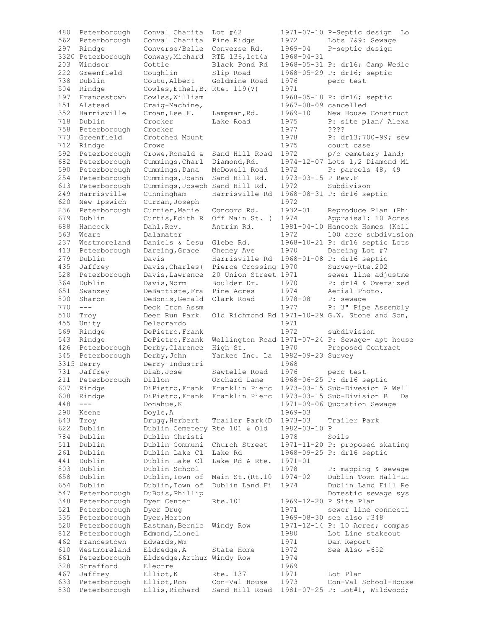| 480 | Peterborough      | Conval Charita                 | Lot $#62$            |                      | 1971-07-10 P-Septic design<br>Lo                |
|-----|-------------------|--------------------------------|----------------------|----------------------|-------------------------------------------------|
| 562 | Peterborough      | Conval Charita                 | Pine Ridge           | 1972                 | Lots 7&9: Sewage                                |
| 297 | Rindge            | Converse/Belle                 | Converse Rd.         | $1969 - 04$          | P-septic design                                 |
|     | 3320 Peterborough | Conway, Michard                | RTE 136, lot4a       | $1968 - 04 - 31$     |                                                 |
| 203 | Windsor           | Cottle                         | Black Pond Rd        |                      | 1968-05-31 P: dr16; Camp Wedic                  |
| 222 | Greenfield        | Coughlin                       | Slip Road            |                      | 1968-05-29 P: dr16; septic                      |
| 738 | Dublin            | Coutu, Albert                  | Goldmine Road        | 1976                 | perc test                                       |
|     |                   |                                |                      |                      |                                                 |
| 504 | Rindge            | Cowles, Ethel, B. Rte. 119(?)  |                      | 1971                 |                                                 |
| 197 | Francestown       | Cowles, William                |                      |                      | 1968-05-18 P: dr16; septic                      |
| 151 | Alstead           | Craig-Machine,                 |                      | 1967-08-09 cancelled |                                                 |
| 352 | Harrisville       | Croan, Lee F.                  | Lampman, Rd.         | 1969-10              | New House Construct                             |
| 718 | Dublin            | Crocker                        | Lake Road            | 1975                 | P: site plan/ Alexa                             |
| 758 | Peterborough      | Crocker                        |                      | 1977                 | ????                                            |
| 773 | Greenfield        | Crotched Mount                 |                      | 1978                 | P: dr13;700-99; sew                             |
| 712 | Rindge            | Crowe                          |                      | 1975                 | court case                                      |
| 592 | Peterborough      | Crowe, Ronald &                | Sand Hill Road       | 1972                 | p/o cemetery land;                              |
| 682 | Peterborough      | Cummings, Charl                | Diamond, Rd.         |                      | 1974-12-07 Lots 1,2 Diamond Mi                  |
| 590 | Peterborough      | Cummings, Dana                 | McDowell Road        | 1972                 | P: parcels 48, 49                               |
|     |                   |                                |                      |                      |                                                 |
| 254 | Peterborough      | Cummings, Joann                | Sand Hill Rd.        | 1973-03-15 P Rev.F   |                                                 |
| 613 | Peterborough      | Cummings, Joseph Sand Hill Rd. |                      | 1972                 | Subdivison                                      |
| 249 | Harrisville       | Cunningham                     | Harrisville Rd       |                      | 1968-08-31 P: dr16 septic                       |
| 620 | New Ipswich       | Curran, Joseph                 |                      | 1972                 |                                                 |
| 236 | Peterborough      | Currier, Marie                 | Concord Rd.          | $1932 - 01$          | Reproduce Plan (Phi                             |
| 679 | Dublin            | Curtis, Edith R                | Off Main St. (       | 1974                 | Appraisal: 10 Acres                             |
| 688 | Hancock           | Dahl, Rev.                     | Antrim Rd.           |                      | 1981-04-10 Hancock Homes (Kell                  |
| 563 | Weare             | Dalamater                      |                      | 1972                 | 100 acre subdivision                            |
| 237 | Westmoreland      | Daniels & Lesu                 | Glebe Rd.            |                      | 1968-10-21 P: dr16 septic Lots                  |
| 413 | Peterborough      | Dareing, Grace                 | Cheney Ave           | 1970                 | Dareing Lot #7                                  |
|     |                   |                                |                      |                      |                                                 |
| 279 | Dublin            | Davis                          | Harrisville Rd       |                      | 1968-01-08 P: dr16 septic                       |
| 435 | Jaffrey           | Davis, Charles (               | Pierce Crossing 1970 |                      | Survey-Rte.202                                  |
| 528 | Peterborough      | Davis, Lawrence                | 20 Union Street 1971 |                      | sewer line adjustme                             |
| 364 | Dublin            | Davis, Norm                    | Boulder Dr.          | 1970                 | P: dr14 & Oversized                             |
| 651 | Swanzey           | DeBattiste, Fra                | Pine Acres           | 1974                 | Aerial Photo.                                   |
| 800 | Sharon            | DeBonis, Gerald                | Clark Road           | $1978 - 08$          | P: sewage                                       |
| 770 | $---$             | Deck Iron Assm                 |                      | 1977                 | P: 3" Pipe Assembly                             |
| 510 | Troy              | Deer Run Park                  |                      |                      | Old Richmond Rd 1971-10-29 G.W. Stone and Son,  |
| 455 | Unity             | Deleorardo                     |                      | 1971                 |                                                 |
| 569 | Rindge            | DePietro, Frank                |                      | 1972                 | subdivision                                     |
|     |                   |                                |                      |                      |                                                 |
| 543 | Rindge            | DePietro, Frank                |                      |                      | Wellington Road 1971-07-24 P: Sewage- apt house |
| 426 | Peterborough      | Derby, Clarence                | High St.             | 1970                 | Proposed Contract                               |
| 345 | Peterborough      | Derby, John                    | Yankee Inc. La       | 1982-09-23 Survey    |                                                 |
|     | 3315 Derry        | Derry Industri                 |                      | 1968                 |                                                 |
| 731 | Jaffrey           | Diab, Jose                     | Sawtelle Road        | 1976                 | perc test                                       |
| 211 | Peterborough      | Dillon                         | Orchard Lane         |                      | 1968-06-25 P: dr16 septic                       |
| 607 | Rindge            | DiPietro, Frank                | Franklin Pierc       |                      | 1973-03-15 Sub-Divesion A Well                  |
| 608 | Rindge            | DiPietro, Frank                | Franklin Pierc       |                      | 1973-03-15 Sub-Division B<br>Da                 |
| 448 | $---$             | Donahue, K                     |                      |                      | 1971-09-06 Quotation Sewage                     |
| 290 | Keene             | Doyle, A                       |                      | 1969-03              |                                                 |
| 643 | Troy              | Drugg, Herbert                 | Trailer Park (D      | $1973 - 03$          | Trailer Park                                    |
| 622 | Dublin            | Dublin Cemetery Rte 101 & Old  |                      | 1982-03-10 P         |                                                 |
|     |                   |                                |                      |                      | Soils                                           |
| 784 | Dublin            | Dublin Christi                 |                      | 1978                 |                                                 |
| 511 | Dublin            | Dublin Communi                 | Church Street        |                      | 1971-11-20 P: proposed skating                  |
| 261 | Dublin            | Dublin Lake Cl                 | Lake Rd              |                      | 1968-09-25 P: dr16 septic                       |
| 441 | Dublin            | Dublin Lake Cl                 | Lake Rd & Rte.       | $1971 - 01$          |                                                 |
| 803 | Dublin            | Dublin School                  |                      | 1978                 | P: mapping & sewage                             |
| 658 | Dublin            | Dublin, Town of                | Main St. (Rt.10      | $1974 - 02$          | Dublin Town Hall-Li                             |
| 654 | Dublin            | Dublin, Town of                | Dublin Land Fi       | 1974                 | Dublin Land Fill Re                             |
| 547 | Peterborough      | DuBois, Phillip                |                      |                      | Domestic sewage sys                             |
| 348 | Peterborough      | Dyer Center                    | Rte.101              |                      | 1969-12-20 P Site Plan                          |
| 521 |                   |                                |                      | 1971                 | sewer line connecti                             |
|     |                   |                                |                      |                      |                                                 |
|     | Peterborough      | Dyer Drug                      |                      |                      |                                                 |
| 335 | Peterborough      | Dyer, Merton                   |                      |                      | 1969-08-30 see also #348                        |
| 520 | Peterborough      | Eastman, Bernic                | Windy Row            |                      | 1971-12-14 P: 10 Acres; compas                  |
| 812 | Peterborough      | Edmond, Lionel                 |                      | 1980                 | Lot Line stakeout                               |
| 462 | Francestown       | Edwards, Wm                    |                      | 1971                 | Dam Report                                      |
| 610 | Westmoreland      | Eldredge, A                    | State Home           | 1972                 | See Also #652                                   |
| 661 | Peterborough      | Eldredge, Arthur Windy Row     |                      | 1974                 |                                                 |
| 328 | Strafford         | Electre                        |                      | 1969                 |                                                 |
| 467 | Jaffrey           | Elliot, K                      | Rte. 137             | 1971                 | Lot Plan                                        |
| 633 | Peterborough      | Elliot, Ron                    | Con-Val House        | 1973                 | Con-Val School-House                            |
| 830 | Peterborough      | Ellis, Richard                 | Sand Hill Road       |                      | 1981-07-25 P: Lot#1, Wildwood;                  |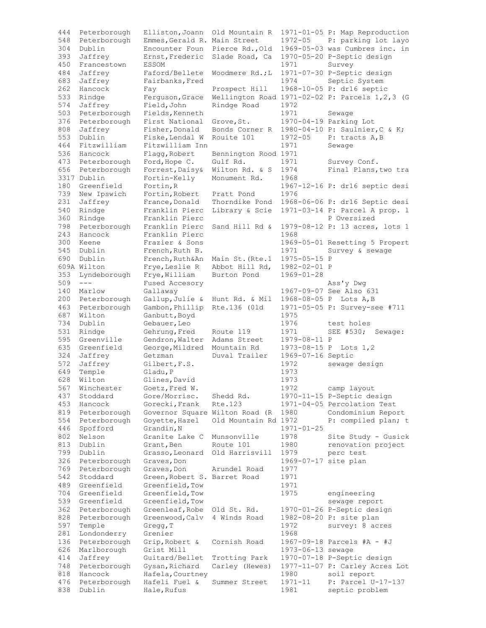| 444 | Peterborough | Elliston, Joann                | Old Mountain R       |                      | 1971-01-05 P: Map Reproduction                   |
|-----|--------------|--------------------------------|----------------------|----------------------|--------------------------------------------------|
| 548 | Peterborough | Emmes, Gerald R. Main Street   |                      | $1972 - 05$          | P: parking lot layo                              |
| 304 | Dublin       | Encounter Foun                 | Pierce Rd., Old      |                      | 1969-05-03 was Cumbres inc. in                   |
| 393 | Jaffrey      | Ernst, Frederic                | Slade Road, Ca       |                      | 1970-05-20 P-Septic design                       |
| 450 | Francestown  | <b>ESSOM</b>                   |                      | 1971                 | Survey                                           |
| 484 | Jaffrey      | Faford/Bellete                 | Woodmere Rd.;L       |                      | 1971-07-30 P-Septic design                       |
|     |              |                                |                      |                      |                                                  |
| 683 | Jaffrey      | Fairbanks, Fred                |                      | 1974                 | Septic System                                    |
| 262 | Hancock      | Fay                            | Prospect Hill        |                      | 1968-10-05 P: dr16 septic                        |
| 533 | Rindge       | Ferguson, Grace                |                      |                      | Wellington Road 1971-02-02 P: Parcels 1, 2, 3 (G |
| 574 | Jaffrey      | Field, John                    | Rindge Road          | 1972                 |                                                  |
| 503 | Peterborough | Fields, Kenneth                |                      | 1971                 | Sewage                                           |
| 376 | Peterborough | First National                 | Grove, St.           |                      | 1970-04-19 Parking Lot                           |
| 808 | Jaffrey      | Fisher, Donald                 | Bonds Corner R       |                      | 1980-04-10 P: Saulnier, C & K;                   |
| 553 | Dublin       | Fiske, Lendal W                | Rouite 101           | $1972 - 05$          | P: tracts A, B                                   |
| 464 | Fitzwilliam  | Fitzwilliam Inn                |                      | 1971                 | Sewage                                           |
| 536 | Hancock      |                                | Bennington Rood 1971 |                      |                                                  |
|     |              | Flagg, Robert                  |                      |                      |                                                  |
| 473 | Peterborough | Ford, Hope C.                  | Gulf Rd.             | 1971                 | Survey Conf.                                     |
| 656 | Peterborough | Forrest, Daisy&                | Wilton Rd. & S       | 1974                 | Final Plans, two tra                             |
|     | 3317 Dublin  | Fortin-Kelly                   | Monument Rd.         | 1968                 |                                                  |
| 180 | Greenfield   | Fortin, R                      |                      |                      | 1967-12-16 P: dr16 septic desi                   |
| 739 | New Ipswich  | Fortin, Robert                 | Pratt Pond           | 1976                 |                                                  |
| 231 | Jaffrey      | France, Donald                 | Thorndike Pond       |                      | 1968-06-06 P: dr16 Septic desi                   |
| 540 | Rindge       | Franklin Pierc                 | Library & Scie       |                      | 1971-03-14 P: Parcel A prop. 1                   |
| 360 | Rindge       | Franklin Pierc                 |                      |                      | P Oversized                                      |
|     |              |                                |                      |                      |                                                  |
| 798 | Peterborough | Franklin Pierc                 | Sand Hill Rd &       |                      | 1979-08-12 P: 13 acres, lots 1                   |
| 243 | Hancock      | Franklin Pierc                 |                      | 1968                 |                                                  |
| 300 | Keene        | Frazier & Sons                 |                      |                      | 1969-05-01 Resetting 5 Propert                   |
| 545 | Dublin       | French, Ruth B.                |                      | 1971                 | Survey & sewage                                  |
| 690 | Dublin       | French, Ruth&An                | Main St. (Rte.1      | 1975-05-15 P         |                                                  |
|     | 609A Wilton  | Frye, Leslie R                 | Abbot Hill Rd,       | 1982-02-01 P         |                                                  |
| 353 | Lyndeborough | Frye, William                  | Burton Pond          | $1969 - 01 - 28$     |                                                  |
| 509 | $---$        |                                |                      |                      |                                                  |
|     |              | Fused Accesory                 |                      |                      | Ass'y Dwg                                        |
| 140 | Marlow       | Gallaway                       |                      |                      | 1967-09-07 See Also 631                          |
| 200 | Peterborough | Gallup, Julie &                | Hunt Rd. & Mil       |                      | 1968-08-05 P Lots A, B                           |
| 463 | Peterborough | Gambon, Phillip                | Rte.136 (01d         |                      | 1971-05-05 P: Survey-see #711                    |
| 687 | Wilton       | Ganbutt, Boyd                  |                      | 1975                 |                                                  |
| 734 | Dublin       | Gebauer, Leo                   |                      | 1976                 | test holes                                       |
| 531 | Rindge       | Gehrung, Fred                  | Route 119            | 1971                 | SEE #530;<br>Sewage:                             |
| 595 | Greenville   | Gendron, Walter                | Adams Street         | 1979-08-11 P         |                                                  |
| 635 | Greenfield   | George, Mildred                | Mountain Rd          | 1973-08-15 P         | Lots $1, 2$                                      |
|     |              |                                |                      |                      |                                                  |
| 324 | Jaffrey      | Getzman                        | Duval Trailer        | 1969-07-16 Septic    |                                                  |
| 572 | Jaffrey      | Gilbert, F.S.                  |                      | 1972                 | sewage design                                    |
| 649 | Temple       | Gladu, P                       |                      | 1973                 |                                                  |
| 628 | Wilton       | Glines, David                  |                      | 1973                 |                                                  |
| 567 | Winchester   | Goetz, Fred W.                 |                      | 1972                 | camp layout                                      |
| 437 | Stoddard     | Gore/Morrisc.                  | Shedd Rd.            |                      | 1970-11-15 P-Septic design                       |
| 453 | Hancock      | Gorecki, Frank                 | Rte.123              |                      | 1971-04-05 Percolation Test                      |
| 819 | Peterborough | Governor Square Wilton Road (R |                      | 1980                 | Condominium Report                               |
|     |              |                                |                      |                      |                                                  |
| 554 | Peterborough | Goyette, Hazel                 | Old Mountain Rd 1972 |                      | P: compiled plan; t                              |
| 446 | Spofford     | Grandin, N                     |                      | $1971 - 01 - 25$     |                                                  |
| 802 | Nelson       | Granite Lake C                 | Munsonville          | 1978                 | Site Study - Gusick                              |
| 813 | Dublin       | Grant, Ben                     | Route 101            | 1980                 | renovation project                               |
| 799 | Dublin       | Grasso, Leonard                | Old Harrisvill       | 1979                 | perc test                                        |
| 326 | Peterborough | Graves, Don                    |                      | 1969-07-17 site plan |                                                  |
| 769 | Peterborough | Graves, Don                    | Arundel Road         | 1977                 |                                                  |
| 542 | Stoddard     | Green, Robert S. Barret Road   |                      | 1971                 |                                                  |
|     |              |                                |                      |                      |                                                  |
| 489 | Greenfield   | Greenfield, Tow                |                      | 1971                 |                                                  |
| 704 | Greenfield   | Greenfield, Tow                |                      | 1975                 | engineering                                      |
| 539 | Greenfield   | Greenfield, Tow                |                      |                      | sewage report                                    |
| 362 | Peterborough | Greenleaf, Robe                | Old St. Rd.          |                      | 1970-01-26 P-Septic design                       |
| 828 | Peterborough | Greenwood, Calv                | 4 Winds Road         |                      | 1982-08-20 P: site plan                          |
| 597 | Temple       | Gregg, T                       |                      | 1972                 | survey: 8 acres                                  |
| 281 | Londonderry  | Grenier                        |                      | 1968                 |                                                  |
| 136 | Peterborough | Grip, Robert &                 | Cornish Road         |                      | 1967-09-18 Parcels #A - #J                       |
|     |              |                                |                      |                      |                                                  |
| 626 | Marlborough  | Grist Mill                     |                      | 1973-06-13 sewage    |                                                  |
| 414 |              | Guitard/Bellet                 | Trotting Park        |                      | 1970-07-18 P-Septic design                       |
| 748 | Jaffrey      |                                |                      |                      |                                                  |
|     | Peterborough | Gysan, Richard                 | Carley (Hewes)       |                      | 1977-11-07 P: Carley Acres Lot                   |
| 818 | Hancock      | Hafela, Courtney               |                      | 1980                 | soil report                                      |
| 476 | Peterborough | Hafeli Fuel &                  | Summer Street        | 1971-11              | P: Parcel U-17-137                               |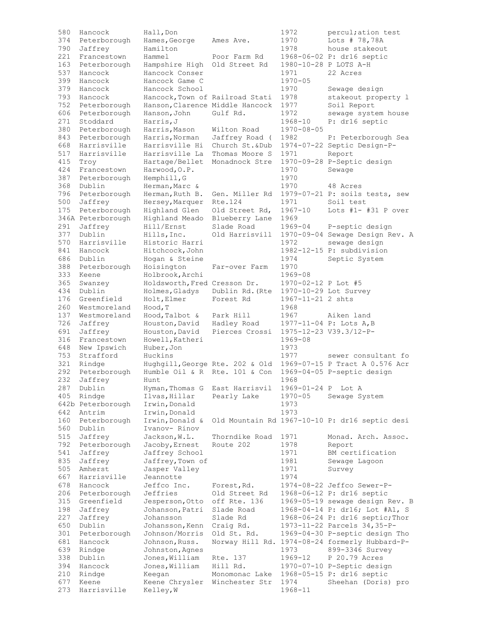| 580 | Hancock           | Hall, Don                       |                                 | 1972                | percul; ation test                             |
|-----|-------------------|---------------------------------|---------------------------------|---------------------|------------------------------------------------|
| 374 | Peterborough      | Hames, George                   | Ames Ave.                       | 1970                | Lots # 78,78A                                  |
| 790 | Jaffrey           | Hamilton                        |                                 | 1978                | house stakeout                                 |
| 221 | Francestown       | Hammel                          | Poor Farm Rd                    |                     | 1968-06-02 P: dr16 septic                      |
| 163 | Peterborough      | Hampshire High                  | Old Street Rd                   |                     | 1980-10-28 P LOTS A-H                          |
| 537 | Hancock           | Hancock Conser                  |                                 | 1971                | 22 Acres                                       |
| 399 | Hancock           | Hancock Game C                  |                                 | $1970 - 05$         |                                                |
| 379 | Hancock           | Hancock School                  |                                 | 1970                | Sewage design                                  |
| 793 | Hancock           | Hancock, Town of Railroad Stati |                                 | 1978                | stakeout property 1                            |
| 752 | Peterborough      | Hanson, Clarence Middle Hancock |                                 | 1977                | Soil Report                                    |
| 606 |                   |                                 | Gulf Rd.                        | 1972                |                                                |
|     | Peterborough      | Hanson, John                    |                                 |                     | sewage system house                            |
| 271 | Stoddard          | Harris, J                       |                                 | 1968-10             | P: dr16 septic                                 |
| 380 | Peterborough      | Harris, Mason                   | Wilton Road                     | $1970 - 08 - 05$    |                                                |
| 843 | Peterborough      | Harris, Norman                  | Jaffrey Road (                  | 1982                | P: Peterborough Sea                            |
| 668 | Harrisville       | Harrisville Hi                  | Church St.&Dub                  |                     | 1974-07-22 Septic Design-P-                    |
| 517 | Harrisville       | Harrisville La                  | Thomas Moore S                  | 1971                | Report                                         |
| 415 | Troy              | Hartage/Bellet                  | Monadnock Stre                  |                     | 1970-09-28 P-Septic design                     |
| 424 | Francestown       | Harwood, O.P.                   |                                 | 1970                | Sewage                                         |
| 387 | Peterborough      | Hemphill, G                     |                                 | 1970                |                                                |
| 368 | Dublin            | Herman, Marc &                  |                                 | 1970                | 48 Acres                                       |
| 796 | Peterborough      | Herman, Ruth B.                 | Gen. Miller Rd                  |                     | 1979-07-21 P: soils tests, sew                 |
| 500 | Jaffrey           | Hersey, Marquer                 | Rte.124                         | 1971                | Soil test                                      |
| 175 | Peterborough      | Highland Glen                   | Old Street Rd,                  | $1967 - 10$         | Lots $#1-$ #31 P over                          |
|     | 346A Peterborough | Highland Meado                  | Blueberry Lane                  | 1969                |                                                |
| 291 | Jaffrey           | Hill/Ernst                      | Slade Road                      | $1969 - 04$         | P-septic design                                |
| 377 | Dublin            | Hills, Inc.                     | Old Harrisvill                  |                     | 1970-09-04 Sewage Design Rev. A                |
| 570 | Harrisville       | Historic Harri                  |                                 | 1972                | sewage design                                  |
| 841 | Hancock           | Hitchcock, John                 |                                 |                     | 1982-12-15 P: subdivision                      |
| 686 | Dublin            | Hogan & Steine                  |                                 | 1974                | Septic System                                  |
| 388 | Peterborough      | Hoisington                      | Far-over Farm                   | 1970                |                                                |
| 333 | Keene             |                                 |                                 | 1969-08             |                                                |
| 365 |                   | Holbrook, Archi                 |                                 |                     |                                                |
|     | Swanzey           | Holdsworth, Fred Cresson Dr.    |                                 | 1970-02-12 P Lot #5 |                                                |
| 434 | Dublin            | Holmes, Gladys                  | Dublin Rd. (Rte                 |                     | 1970-10-29 Lot Survey                          |
| 176 | Greenfield        | Holt, Elmer                     | Forest Rd                       | 1967-11-21 2 shts   |                                                |
| 260 | Westmoreland      | Hood, T                         |                                 | 1968                |                                                |
| 137 | Westmoreland      | Hood, Talbot &                  | Park Hill                       | 1967                | Aiken land                                     |
| 726 | Jaffrey           | Houston, David                  | Hadley Road                     |                     | 1977-11-04 P: Lots A, B                        |
| 691 | Jaffrey           | Houston, David                  | Pierces Crossi                  |                     | 1975-12-23 V39.3/12-P-                         |
| 316 | Francestown       | Howell, Katheri                 |                                 | 1969-08             |                                                |
| 648 | New Ipswich       | Huber, Jon                      |                                 | 1973                |                                                |
| 753 | Strafford         | Huckins                         |                                 | 1977                | sewer consultant fo                            |
| 321 | Rindge            |                                 | Hughgill, George Rte. 202 & Old |                     | 1969-07-15 P Tract A 0.576 Acr                 |
| 292 | Peterborough      | Humble Oil & R Rte. 101 & Con   |                                 |                     | 1969-04-05 P-septic design                     |
| 232 | Jaffrey           | Hunt                            |                                 | 1968                |                                                |
| 287 | Dublin            | Hyman, Thomas G                 | East Harrisvil                  | 1969-01-24 P        | Lot A                                          |
| 405 | Rindge            | Ilvas, Hillar                   | Pearly Lake                     | $1970 - 05$         | Sewage System                                  |
|     | 642b Peterborough | Irwin, Donald                   |                                 | 1973                |                                                |
| 642 | Antrim            | Irwin, Donald                   |                                 | 1973                |                                                |
| 160 | Peterborough      | Irwin, Donald &                 |                                 |                     | Old Mountain Rd 1967-10-10 P: dr16 septic desi |
| 560 | Dublin            | Ivanov- Rinov                   |                                 |                     |                                                |
| 515 | Jaffrey           | Jackson, W.L.                   | Thorndike Road                  | 1971                | Monad. Arch. Assoc.                            |
| 792 | Peterborough      | Jacoby, Ernest                  | Route 202                       | 1978                | Report                                         |
| 541 | Jaffrey           | Jaffrey School                  |                                 | 1971                | BM certification                               |
| 835 | Jaffrey           | Jaffrey, Town of                |                                 | 1981                | Sewage Lagoon                                  |
| 505 | Amherst           | Jasper Valley                   |                                 | 1971                | Survey                                         |
| 667 | Harrisville       | Jeannotte                       |                                 | 1974                |                                                |
| 678 | Hancock           | Jeffco Inc.                     | Forest, Rd.                     |                     | 1974-08-22 Jeffco Sewer-P-                     |
| 206 | Peterborough      | Jeffries                        | Old Street Rd                   |                     | 1968-06-12 P: dr16 septic                      |
| 315 | Greenfield        | Jesperson, Otto                 | off Rte. 136                    |                     | 1969-05-19 sewage design Rev. B                |
| 198 | Jaffrey           | Johanson, Patri                 | Slade Road                      |                     | 1968-04-14 P: dr16; Lot #A1, S                 |
| 227 | Jaffrey           | Johansson                       | Slade Rd                        |                     | 1968-06-24 P: dr16 septic; Thor                |
| 650 | Dublin            | Johansson, Kenn                 | Craig Rd.                       |                     | 1973-11-22 Parcels 34, 35-P-                   |
| 301 | Peterborough      | Johnson/Morris                  | Old St. Rd.                     |                     | 1969-04-30 P-septic design Tho                 |
| 681 | Hancock           | Johnson, Russ.                  | Norway Hill Rd.                 |                     | 1974-08-24 formerly Hubbard-P-                 |
| 639 |                   |                                 |                                 |                     | 899-3346 Survey                                |
| 338 | Rindge            | Johnston, Agnes                 |                                 | 1973                |                                                |
|     | Dublin            | Jones, William                  | Rte. 137                        | 1969-12             | P 20.79 Acres                                  |
| 394 | Hancock           | Jones, William                  | Hill Rd.                        |                     | 1970-07-10 P-Septic design                     |
| 210 | Rindge            | Keegan                          | Monomonac Lake                  |                     | 1968-05-15 P: dr16 septic                      |
| 677 | Keene             | Keene Chrysler                  | Winchester Str                  | 1974                | Sheehan (Doris) pro                            |
| 273 | Harrisville       | Kelley, W                       |                                 | $1968 - 11$         |                                                |